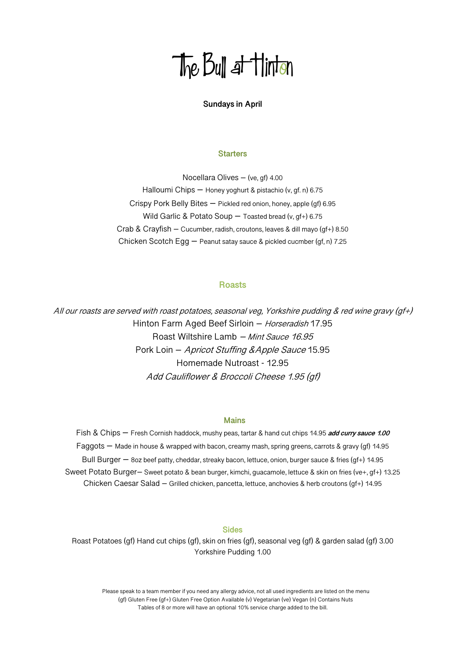# The Bull at Hinton

# **Sundays in April**

### **Starters**

Nocellara Olives – (ve, gf) 4.00 Halloumi Chips - Honey yoghurt & pistachio (v, gf. n) 6.75 Crispy Pork Belly Bites – Pickled red onion, honey, apple (gf) 6.95 Wild Garlic & Potato Soup – Toasted bread (v, gf+) 6.75 Crab & Crayfish – Cucumber, radish, croutons, leaves & dill mayo (gf+) 8.50 Chicken Scotch Egg – Peanut satay sauce & pickled cucmber (gf, n) 7.25

# **Roasts**

All our roasts are served with roast potatoes, seasonal veg, Yorkshire pudding & red wine gravy (gf+) Hinton Farm Aged Beef Sirloin - Horseradish 17.95 Roast Wiltshire Lamb – Mint Sauce 16.95 Pork Loin – Apricot Stuffing &Apple Sauce 15.95 Homemade Nutroast - 12.95 Add Cauliflower & Broccoli Cheese 1.95 (gf)

# **Mains**

Fish & Chips – Fresh Cornish haddock, mushy peas, tartar & hand cut chips 14.95 **add curry sauce 1.00** Faggots – Made in house & wrapped with bacon, creamy mash, spring greens, carrots & gravy (gf) 14.95 Bull Burger – 8oz beef patty, cheddar, streaky bacon, lettuce, onion, burger sauce & fries (gf+) 14.95 Sweet Potato Burger– Sweet potato & bean burger, kimchi, guacamole, lettuce & skin on fries (ve+, gf+) 13.25 Chicken Caesar Salad – Grilled chicken, pancetta, lettuce, anchovies & herb croutons (gf+) 14.95

# **Sides**

Roast Potatoes (gf) Hand cut chips (gf), skin on fries (gf), seasonal veg (gf) & garden salad (gf) 3.00 Yorkshire Pudding 1.00

 Please speak to a team member if you need any allergy advice, not all used ingredients are listed on the menu (gf) Gluten Free (gf+) Gluten Free Option Available (v) Vegetarian (ve) Vegan (n) Contains Nuts Tables of 8 or more will have an optional 10% service charge added to the bill.